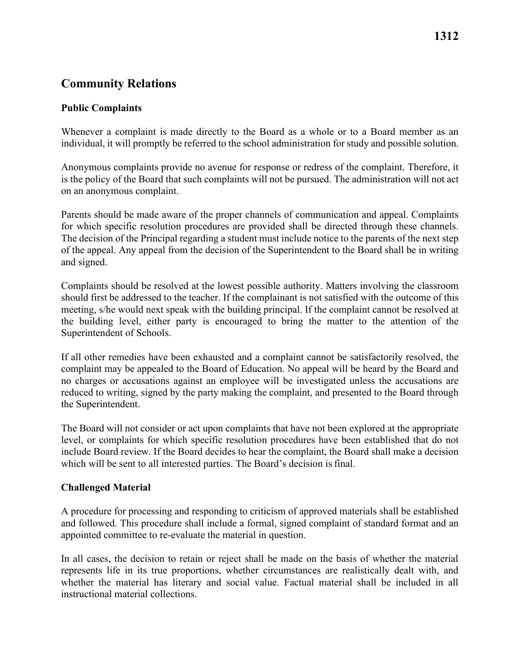## **Community Relations**

### **Public Complaints**

 Whenever a complaint is made directly to the Board as a whole or to a Board member as an individual, it will promptly be referred to the school administration for study and possible solution.

 on an anonymous complaint. Anonymous complaints provide no avenue for response or redress of the complaint. Therefore, it is the policy of the Board that such complaints will not be pursued. The administration will not act

 Parents should be made aware of the proper channels of communication and appeal. Complaints for which specific resolution procedures are provided shall be directed through these channels. The decision of the Principal regarding a student must include notice to the parents of the next step of the appeal. Any appeal from the decision of the Superintendent to the Board shall be in writing and signed.

Complaints should be resolved at the lowest possible authority. Matters involving the classroom should first be addressed to the teacher. If the complainant is not satisfied with the outcome of this meeting, s/he would next speak with the building principal. If the complaint cannot be resolved at the building level, either party is encouraged to bring the matter to the attention of the Superintendent of Schools.

If all other remedies have been exhausted and a complaint cannot be satisfactorily resolved, the complaint may be appealed to the Board of Education. No appeal will be heard by the Board and no charges or accusations against an employee will be investigated unless the accusations are reduced to writing, signed by the party making the complaint, and presented to the Board through the Superintendent.

 which will be sent to all interested parties. The Board's decision is final. The Board will not consider or act upon complaints that have not been explored at the appropriate level, or complaints for which specific resolution procedures have been established that do not include Board review. If the Board decides to hear the complaint, the Board shall make a decision

### **Challenged Material**

 appointed committee to re-evaluate the material in question. A procedure for processing and responding to criticism of approved materials shall be established and followed. This procedure shall include a formal, signed complaint of standard format and an

In all cases, the decision to retain or reject shall be made on the basis of whether the material represents life in its true proportions, whether circumstances are realistically dealt with, and whether the material has literary and social value. Factual material shall be included in all instructional material collections.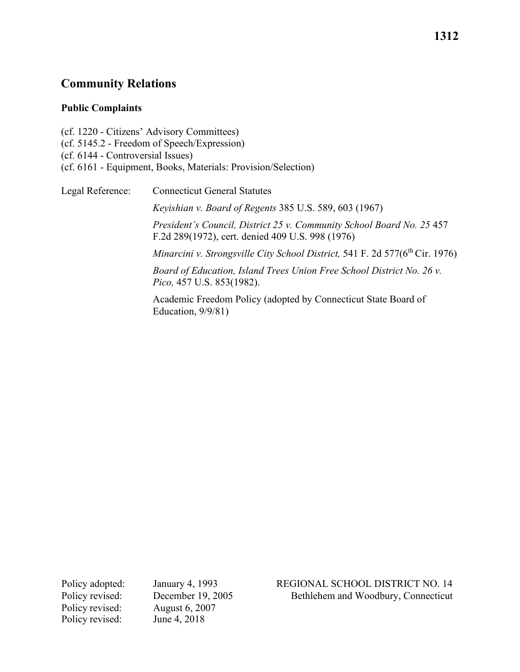### **Community Relations**

#### **Public Complaints**

 (cf. 5145.2 - Freedom of Speech/Expression) (cf. 1220 - Citizens' Advisory Committees) (cf. 6144 - Controversial Issues) (cf. 6161 - Equipment, Books, Materials: Provision/Selection)

Legal Reference: Connecticut General Statutes *Keyishian v. Board of Regents* 385 U.S. 589, 603 (1967) *President's Council, District 25 v. Community School Board No. 25* 457 F.2d 289(1972), cert. denied 409 U.S. 998 (1976) *Minarcini v. Strongsville City School District, 541 F. 2d 577(6<sup>th</sup> Cir. 1976) Board of Education, Island Trees Union Free School District No. 26 v. Pico,* 457 U.S. 853(1982).

> Academic Freedom Policy (adopted by Connecticut State Board of Education, 9/9/81)

Policy revised: June 4, 2018

Policy revised: August 6, 2007

Policy adopted: January 4, 1993 REGIONAL SCHOOL DISTRICT NO. 14 Policy revised: December 19, 2005 Bethlehem and Woodbury, Connecticut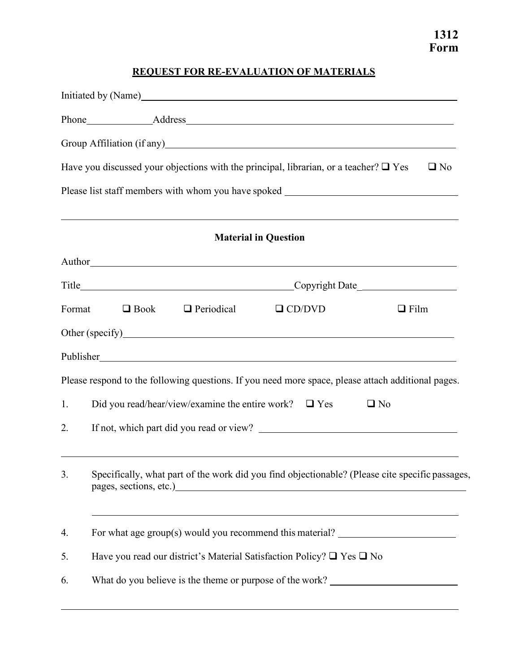# **REQUEST FOR RE-EVALUATION OF MATERIALS**

|        | Initiated by (Name) https://www.acceleration.com/                                                                                                                                                                                                                                                                                       |  |  |
|--------|-----------------------------------------------------------------------------------------------------------------------------------------------------------------------------------------------------------------------------------------------------------------------------------------------------------------------------------------|--|--|
|        |                                                                                                                                                                                                                                                                                                                                         |  |  |
|        | Group Affiliation (if any) Sharehold School and School and School and School and School and School and School and School and School and School and School and School and School and School and School and School and School an                                                                                                          |  |  |
|        | Have you discussed your objections with the principal, librarian, or a teacher? $\Box$ Yes<br>$\Box$ No                                                                                                                                                                                                                                 |  |  |
|        | Please list staff members with whom you have spoked _____________________________                                                                                                                                                                                                                                                       |  |  |
|        | ,我们也不能会有一个人的事情。""我们的人,我们也不能会有一个人的人,我们也不能会有一个人的人,我们也不能会有一个人的人。""我们的人,我们也不能会有一个人的人,<br><b>Material in Question</b>                                                                                                                                                                                                                        |  |  |
|        |                                                                                                                                                                                                                                                                                                                                         |  |  |
|        |                                                                                                                                                                                                                                                                                                                                         |  |  |
| Format | $\Box$ Book<br>$\Box$ Periodical<br>$\Box$ CD/DVD<br>$\Box$ Film                                                                                                                                                                                                                                                                        |  |  |
|        | Other (specify)<br><u>Other</u> (specify)                                                                                                                                                                                                                                                                                               |  |  |
|        |                                                                                                                                                                                                                                                                                                                                         |  |  |
|        | Please respond to the following questions. If you need more space, please attach additional pages.                                                                                                                                                                                                                                      |  |  |
| 1.     | Did you read/hear/view/examine the entire work? $\Box$ Yes<br>$\Box$ No                                                                                                                                                                                                                                                                 |  |  |
| 2.     |                                                                                                                                                                                                                                                                                                                                         |  |  |
| 3.     | Specifically, what part of the work did you find objectionable? (Please cite specific passages,<br>pages, sections, etc.)<br><u>example</u> and the section of the section of the section of the section of the section of the section of the section of the section of the section of the section of the section of the section of the |  |  |
| 4.     | <u> 1989 - Johann Stoff, amerikansk politiker (* 1908)</u><br>For what age group(s) would you recommend this material? _______________________                                                                                                                                                                                          |  |  |
| 5.     | Have you read our district's Material Satisfaction Policy? $\square$ Yes $\square$ No                                                                                                                                                                                                                                                   |  |  |
| 6.     | What do you believe is the theme or purpose of the work?                                                                                                                                                                                                                                                                                |  |  |
|        |                                                                                                                                                                                                                                                                                                                                         |  |  |